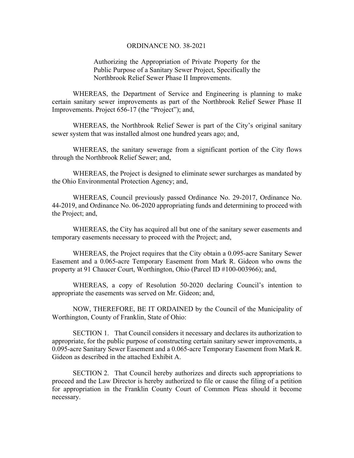# ORDINANCE NO. 38-2021

Authorizing the Appropriation of Private Property for the Public Purpose of a Sanitary Sewer Project, Specifically the Northbrook Relief Sewer Phase II Improvements.

WHEREAS, the Department of Service and Engineering is planning to make certain sanitary sewer improvements as part of the Northbrook Relief Sewer Phase II Improvements. Project 656-17 (the "Project"); and,

WHEREAS, the Northbrook Relief Sewer is part of the City's original sanitary sewer system that was installed almost one hundred years ago; and,

WHEREAS, the sanitary sewerage from a significant portion of the City flows through the Northbrook Relief Sewer; and,

WHEREAS, the Project is designed to eliminate sewer surcharges as mandated by the Ohio Environmental Protection Agency; and,

WHEREAS, Council previously passed Ordinance No. 29-2017, Ordinance No. 44-2019, and Ordinance No. 06-2020 appropriating funds and determining to proceed with the Project; and,

WHEREAS, the City has acquired all but one of the sanitary sewer easements and temporary easements necessary to proceed with the Project; and,

WHEREAS, the Project requires that the City obtain a 0.095-acre Sanitary Sewer Easement and a 0.065-acre Temporary Easement from Mark R. Gideon who owns the property at 91 Chaucer Court, Worthington, Ohio (Parcel ID #100-003966); and,

WHEREAS, a copy of Resolution 50-2020 declaring Council's intention to appropriate the easements was served on Mr. Gideon; and,

NOW, THEREFORE, BE IT ORDAINED by the Council of the Municipality of Worthington, County of Franklin, State of Ohio:

SECTION 1. That Council considers it necessary and declares its authorization to appropriate, for the public purpose of constructing certain sanitary sewer improvements, a 0.095-acre Sanitary Sewer Easement and a 0.065-acre Temporary Easement from Mark R. Gideon as described in the attached Exhibit A.

SECTION 2. That Council hereby authorizes and directs such appropriations to proceed and the Law Director is hereby authorized to file or cause the filing of a petition for appropriation in the Franklin County Court of Common Pleas should it become necessary.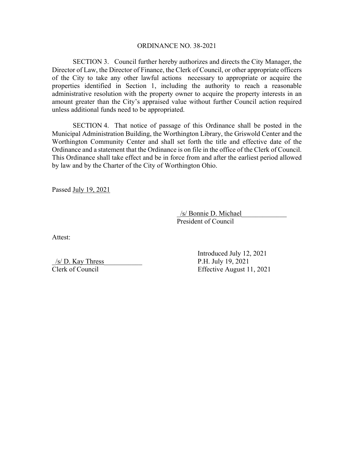# ORDINANCE NO. 38-2021

SECTION 3. Council further hereby authorizes and directs the City Manager, the Director of Law, the Director of Finance, the Clerk of Council, or other appropriate officers of the City to take any other lawful actions necessary to appropriate or acquire the properties identified in Section 1, including the authority to reach a reasonable administrative resolution with the property owner to acquire the property interests in an amount greater than the City's appraised value without further Council action required unless additional funds need to be appropriated.

SECTION 4. That notice of passage of this Ordinance shall be posted in the Municipal Administration Building, the Worthington Library, the Griswold Center and the Worthington Community Center and shall set forth the title and effective date of the Ordinance and a statement that the Ordinance is on file in the office of the Clerk of Council. This Ordinance shall take effect and be in force from and after the earliest period allowed by law and by the Charter of the City of Worthington Ohio.

Passed July 19, 2021

/s/ Bonnie D. Michael President of Council

Attest:

 $/$ s/ D. Kay Thress P.H. July 19, 2021

 Introduced July 12, 2021 Clerk of Council Effective August 11, 2021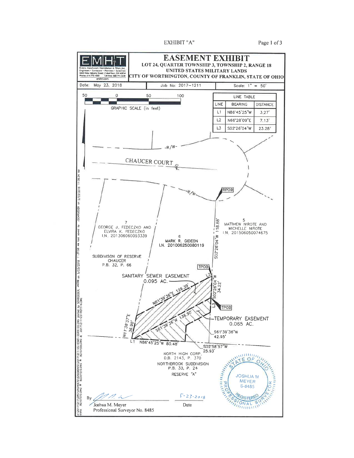EXHIBIT "A"

Page 1 of 3

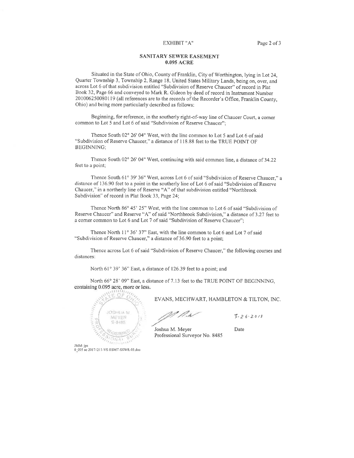### EXHIBIT "A"

### **SANITARY SEWER EASEMENT 0.095 ACRE**

Situated in the State of Ohio, County of Franklin, City of Worthington, lying in Lot 24, Quarter Township 3, Township 2, Range 18, United States Military Lands, being on, over, and across Lot 6 of that subdivision entitled "Subdivision of Reserve Chaucer" of record in Plat Book 32, Page 66 and conveyed to Mark R. Gideon by deed of record in Instrument Number 201006250080119 (all references are to the records of the Recorder's Office, Franklin County, Ohio) and being more particularly described as follows:

Beginning, for reference, in the southerly right-of-way line of Chaucer Court, a corner common to Lot 5 and Lot 6 of said "Subdivision of Reserve Chaucer";

Thence South 02° 26' 04" West, with the line common to Lot 5 and Lot 6 of said "Subdivision of Reserve Chaucer," a distance of 118.88 feet to the TRUE POINT OF **BEGINNING:** 

Thence South 02° 26' 04" West, continuing with said common line, a distance of 34.22 feet to a point;

Thence South 61° 39' 36" West, across Lot 6 of said "Subdivision of Reserve Chaucer," a distance of 136.90 feet to a point in the southerly line of Lot 6 of said "Subdivision of Reserve Chaucer," in a northerly line of Reserve "A" of that subdivision entitled "Northbrook Subdivision" of record in Plat Book 33, Page 24;

Thence North 86° 45' 25" West, with the line common to Lot 6 of said "Subdivision of Reserve Chaucer" and Reserve "A" of said "Northbrook Subdivision," a distance of 3.27 feet to a corner common to Lot 6 and Lot 7 of said "Subdivision of Reserve Chaucer";

Thence North 11° 36' 37" East, with the line common to Lot 6 and Lot 7 of said "Subdivision of Reserve Chaucer," a distance of 36.90 feet to a point;

Thence across Lot 6 of said "Subdivision of Reserve Chaucer," the following courses and distances:

North 61° 39' 36" East, a distance of 126.39 feet to a point; and

North 66° 28' 09" East, a distance of 7.13 feet to the TRUE POINT OF BEGINNING, containing 0.095 acre, more or less.



EVANS, MECHWART, HAMBLETON & TILTON, INC.

U //.r

 $3 - 26 - 2018$ 

Joshua M. Meyer Professional Surveyor No. 8485

Date

JMM: jps<br>0\_095 ac 20171211-VS-ESMT-SSWR-03.doc